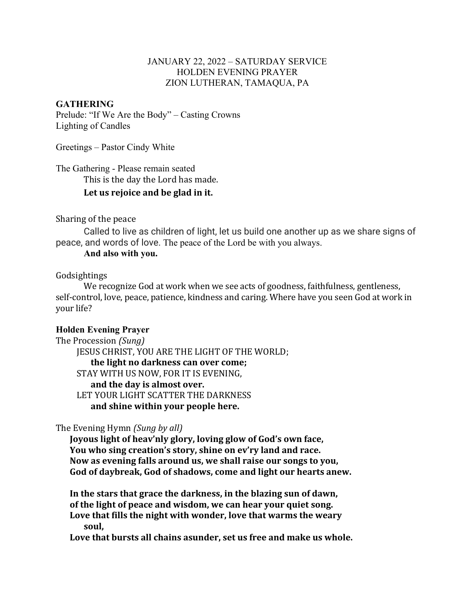# JANUARY 22, 2022 – SATURDAY SERVICE HOLDEN EVENING PRAYER ZION LUTHERAN, TAMAQUA, PA

### **GATHERING**

Prelude: "If We Are the Body" – Casting Crowns Lighting of Candles

Greetings – Pastor Cindy White

The Gathering - Please remain seated This is the day the Lord has made. Let us rejoice and be glad in it.

# Sharing of the peace

Called to live as children of light, let us build one another up as we share signs of peace, and words of love. The peace of the Lord be with you always.

# **And also with you.**

#### Godsightings

We recognize God at work when we see acts of goodness, faithfulness, gentleness, self-control, love, peace, patience, kindness and caring. Where have you seen God at work in your life?

# **Holden Evening Prayer**

The Procession *(Sung)* JESUS CHRIST, YOU ARE THE LIGHT OF THE WORLD; **the light no darkness can over come;** STAY WITH US NOW, FOR IT IS EVENING, and the day is almost over. LET YOUR LIGHT SCATTER THE DARKNESS **and shine within your people here.**

# The Evening Hymn *(Sung by all)*

Joyous light of heav'nly glory, loving glow of God's own face, You who sing creation's story, shine on ev'ry land and race. Now as evening falls around us, we shall raise our songs to you, God of daybreak, God of shadows, come and light our hearts anew.

In the stars that grace the darkness, in the blazing sun of dawn, of the light of peace and wisdom, we can hear your quiet song. Love that fills the night with wonder, love that warms the weary **soul,**

Love that bursts all chains asunder, set us free and make us whole.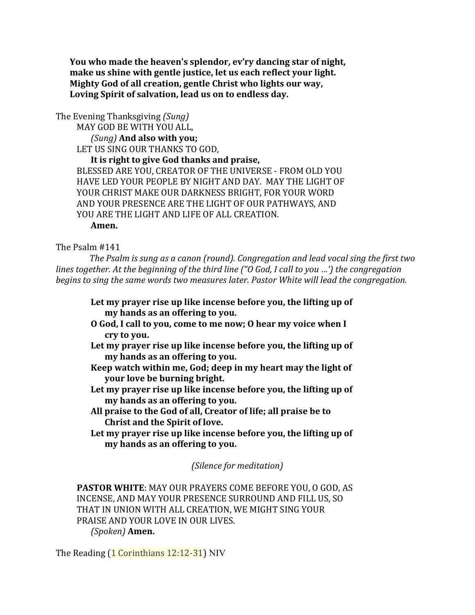You who made the heaven's splendor, ev'ry dancing star of night, make us shine with gentle justice, let us each reflect your light. **Mighty God of all creation, gentle Christ who lights our way,** Loving Spirit of salvation, lead us on to endless day.

The Evening Thanksgiving *(Sung)* MAY GOD BE WITH YOU ALL, *(Sung)* **And also with you;** LET US SING OUR THANKS TO GOD, It is right to give God thanks and praise, BLESSED ARE YOU, CREATOR OF THE UNIVERSE - FROM OLD YOU HAVE LED YOUR PEOPLE BY NIGHT AND DAY. MAY THE LIGHT OF YOUR CHRIST MAKE OUR DARKNESS BRIGHT, FOR YOUR WORD AND YOUR PRESENCE ARE THE LIGHT OF OUR PATHWAYS, AND YOU ARE THE LIGHT AND LIFE OF ALL CREATION. **Amen.**

The Psalm #141

 *The Psalm is sung as a canon (round). Congregation and lead vocal sing the first two lines together. At the beginning of the third line* ("O God, I call to you ...') the congregation *begins* to sing the same words two measures later. Pastor White will lead the congregation.

# Let my prayer rise up like incense before you, the lifting up of **my hands as an offering to you.**

- **O** God, I call to you, come to me now; O hear my voice when I **cry to you.**
- Let my prayer rise up like incense before you, the lifting up of **my hands as an offering to you.**
- **Keep** watch within me, God; deep in my heart may the light of **your love be burning bright.**
- Let my prayer rise up like incense before you, the lifting up of **my hands as an offering to you.**
- All praise to the God of all, Creator of life; all praise be to **Christ and the Spirit of love.**
- Let my prayer rise up like incense before you, the lifting up of **my hands as an offering to you.**

*(Silence for meditation)* 

**PASTOR WHITE:** MAY OUR PRAYERS COME BEFORE YOU, O GOD, AS INCENSE, AND MAY YOUR PRESENCE SURROUND AND FILL US, SO THAT IN UNION WITH ALL CREATION, WE MIGHT SING YOUR PRAISE AND YOUR LOVE IN OUR LIVES. *(Spoken)* **Amen.**

The Reading  $(1$  Corinthians  $12:12-31$ ) NIV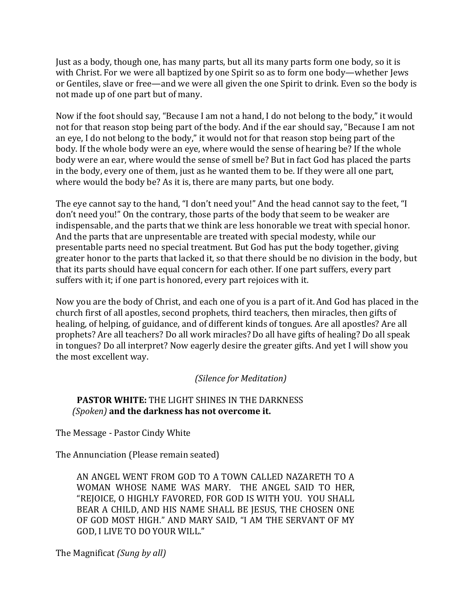Just as a body, though one, has many parts, but all its many parts form one body, so it is with Christ. For we were all baptized by one Spirit so as to form one body—whether Jews or Gentiles, slave or free—and we were all given the one Spirit to drink. Even so the body is not made up of one part but of many.

Now if the foot should say, "Because I am not a hand, I do not belong to the body," it would not for that reason stop being part of the body. And if the ear should say, "Because I am not an eye, I do not belong to the body," it would not for that reason stop being part of the body. If the whole body were an eye, where would the sense of hearing be? If the whole body were an ear, where would the sense of smell be? But in fact God has placed the parts in the body, every one of them, just as he wanted them to be. If they were all one part, where would the body be? As it is, there are many parts, but one body.

The eye cannot say to the hand, "I don't need you!" And the head cannot say to the feet, "I don't need you!" On the contrary, those parts of the body that seem to be weaker are indispensable, and the parts that we think are less honorable we treat with special honor. And the parts that are unpresentable are treated with special modesty, while our presentable parts need no special treatment. But God has put the body together, giving greater honor to the parts that lacked it, so that there should be no division in the body, but that its parts should have equal concern for each other. If one part suffers, every part suffers with it; if one part is honored, every part rejoices with it.

Now you are the body of Christ, and each one of you is a part of it. And God has placed in the church first of all apostles, second prophets, third teachers, then miracles, then gifts of healing, of helping, of guidance, and of different kinds of tongues. Are all apostles? Are all prophets? Are all teachers? Do all work miracles? Do all have gifts of healing? Do all speak in tongues? Do all interpret? Now eagerly desire the greater gifts. And yet I will show you the most excellent way.

# *(Silence for Meditation)*

# **PASTOR WHITE:** THE LIGHT SHINES IN THE DARKNESS *(Spoken)* and the darkness has not overcome it.

The Message - Pastor Cindy White

The Annunciation (Please remain seated)

AN ANGEL WENT FROM GOD TO A TOWN CALLED NAZARETH TO A WOMAN WHOSE NAME WAS MARY. THE ANGEL SAID TO HER, "REJOICE, O HIGHLY FAVORED, FOR GOD IS WITH YOU. YOU SHALL BEAR A CHILD, AND HIS NAME SHALL BE JESUS, THE CHOSEN ONE OF GOD MOST HIGH." AND MARY SAID, "I AM THE SERVANT OF MY GOD, I LIVE TO DO YOUR WILL."

The Magnificat *(Sung by all)*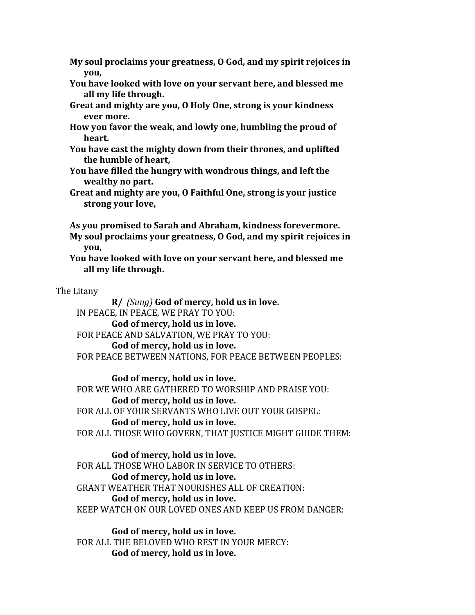**My soul proclaims your greatness, O God, and my spirit rejoices in you,**

**You have looked with love on your servant here, and blessed me all my life through.**

**Great and mighty are you, O Holy One, strong is your kindness ever more.**

How you favor the weak, and lowly one, humbling the proud of **heart.**

You have cast the mighty down from their thrones, and uplifted **the humble of heart,**

**You have filled the hungry with wondrous things, and left the** wealthy no part.

Great and mighty are you, O Faithful One, strong is your justice strong your love,

As you promised to Sarah and Abraham, kindness forevermore. **My soul proclaims your greatness, O God, and my spirit rejoices in you,**

**You have looked with love on your servant here, and blessed me all my life through.**

The Litany

**R/** *(Sung)* **God of mercy, hold us in love.** IN PEACE, IN PEACE, WE PRAY TO YOU: God of mercy, hold us in love. FOR PEACE AND SALVATION, WE PRAY TO YOU: God of mercy, hold us in love. FOR PEACE BETWEEN NATIONS, FOR PEACE BETWEEN PEOPLES:

God of mercy, hold us in love.

FOR WE WHO ARE GATHERED TO WORSHIP AND PRAISE YOU: God of mercy, hold us in love. FOR ALL OF YOUR SERVANTS WHO LIVE OUT YOUR GOSPEL: God of mercy, hold us in love.

FOR ALL THOSE WHO GOVERN, THAT JUSTICE MIGHT GUIDE THEM:

God of mercy, hold us in love. FOR ALL THOSE WHO LABOR IN SERVICE TO OTHERS: God of mercy, hold us in love. GRANT WEATHER THAT NOURISHES ALL OF CREATION: God of mercy, hold us in love. KEEP WATCH ON OUR LOVED ONES AND KEEP US FROM DANGER:

God of mercy, hold us in love. FOR ALL THE BELOVED WHO REST IN YOUR MERCY: **God of mercy, hold us in love.**